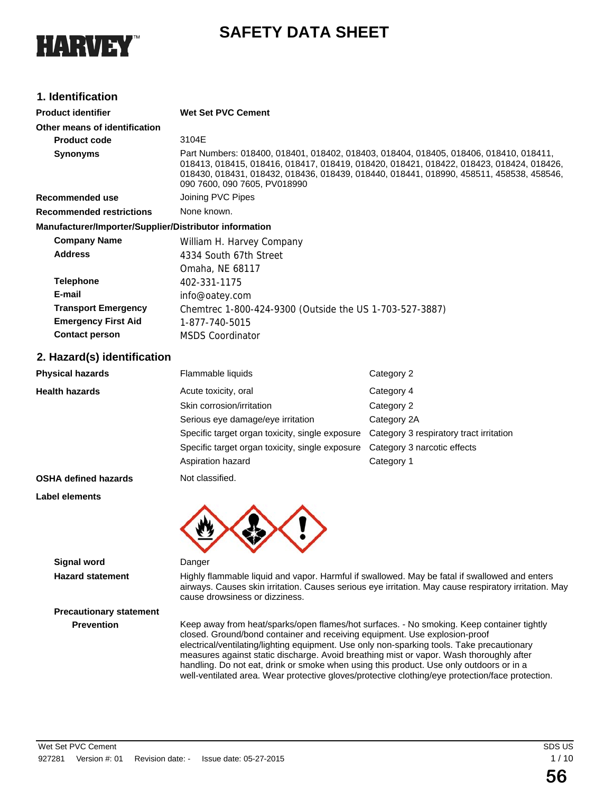

# **SAFETY DATA SHEET**

# **1. Identification**

| <b>Product identifier</b>                              | <b>Wet Set PVC Cement</b>                               |                                                                                                                                                                                                                                                                             |  |  |
|--------------------------------------------------------|---------------------------------------------------------|-----------------------------------------------------------------------------------------------------------------------------------------------------------------------------------------------------------------------------------------------------------------------------|--|--|
| Other means of identification                          |                                                         |                                                                                                                                                                                                                                                                             |  |  |
| <b>Product code</b>                                    | 3104E                                                   |                                                                                                                                                                                                                                                                             |  |  |
| <b>Synonyms</b>                                        | 090 7600, 090 7605, PV018990                            | Part Numbers: 018400, 018401, 018402, 018403, 018404, 018405, 018406, 018410, 018411,<br>018413, 018415, 018416, 018417, 018419, 018420, 018421, 018422, 018423, 018424, 018426,<br>018430, 018431, 018432, 018436, 018439, 018440, 018441, 018990, 458511, 458538, 458546, |  |  |
| <b>Recommended use</b>                                 | Joining PVC Pipes                                       |                                                                                                                                                                                                                                                                             |  |  |
| <b>Recommended restrictions</b>                        | None known.                                             |                                                                                                                                                                                                                                                                             |  |  |
| Manufacturer/Importer/Supplier/Distributor information |                                                         |                                                                                                                                                                                                                                                                             |  |  |
| <b>Company Name</b>                                    | William H. Harvey Company                               |                                                                                                                                                                                                                                                                             |  |  |
| <b>Address</b>                                         | 4334 South 67th Street                                  |                                                                                                                                                                                                                                                                             |  |  |
|                                                        | Omaha, NE 68117                                         |                                                                                                                                                                                                                                                                             |  |  |
| <b>Telephone</b>                                       | 402-331-1175                                            |                                                                                                                                                                                                                                                                             |  |  |
| E-mail                                                 | info@oatey.com                                          |                                                                                                                                                                                                                                                                             |  |  |
| <b>Transport Emergency</b>                             | Chemtrec 1-800-424-9300 (Outside the US 1-703-527-3887) |                                                                                                                                                                                                                                                                             |  |  |
| <b>Emergency First Aid</b>                             | 1-877-740-5015                                          |                                                                                                                                                                                                                                                                             |  |  |
| <b>Contact person</b>                                  | <b>MSDS Coordinator</b>                                 |                                                                                                                                                                                                                                                                             |  |  |
| 2. Hazard(s) identification                            |                                                         |                                                                                                                                                                                                                                                                             |  |  |
| Physical hazards                                       | Flammable liquids                                       | Category 2                                                                                                                                                                                                                                                                  |  |  |
| Health hazards                                         | Acute toxicity, oral                                    | Category 4                                                                                                                                                                                                                                                                  |  |  |
|                                                        | Chin corrogian limitation                               | O <sub>0</sub>                                                                                                                                                                                                                                                              |  |  |

|              | $\mathbf{A}$ is a set of $\mathbf{A}$ is a set of $\mathbf{A}$                          |             |
|--------------|-----------------------------------------------------------------------------------------|-------------|
|              | Aspiration hazard                                                                       | Category 1  |
|              | Specific target organ toxicity, single exposure Category 3 narcotic effects             |             |
|              | Specific target organ toxicity, single exposure Category 3 respiratory tract irritation |             |
|              | Serious eye damage/eye irritation                                                       | Category 2A |
|              | Skin corrosion/irritation                                                               | Category 2  |
| ılth hazards | Acute toxicity, oral                                                                    | Category 4  |
|              |                                                                                         |             |

**OSHA defined hazards** Not classified.

**Label elements**



#### **Signal word** Danger

**Hazard statement** Highly flammable liquid and vapor. Harmful if swallowed. May be fatal if swallowed and enters airways. Causes skin irritation. Causes serious eye irritation. May cause respiratory irritation. May cause drowsiness or dizziness.

**Precautionary statement**

**Prevention** Keep away from heat/sparks/open flames/hot surfaces. - No smoking. Keep container tightly closed. Ground/bond container and receiving equipment. Use explosion-proof electrical/ventilating/lighting equipment. Use only non-sparking tools. Take precautionary measures against static discharge. Avoid breathing mist or vapor. Wash thoroughly after handling. Do not eat, drink or smoke when using this product. Use only outdoors or in a well-ventilated area. Wear protective gloves/protective clothing/eye protection/face protection.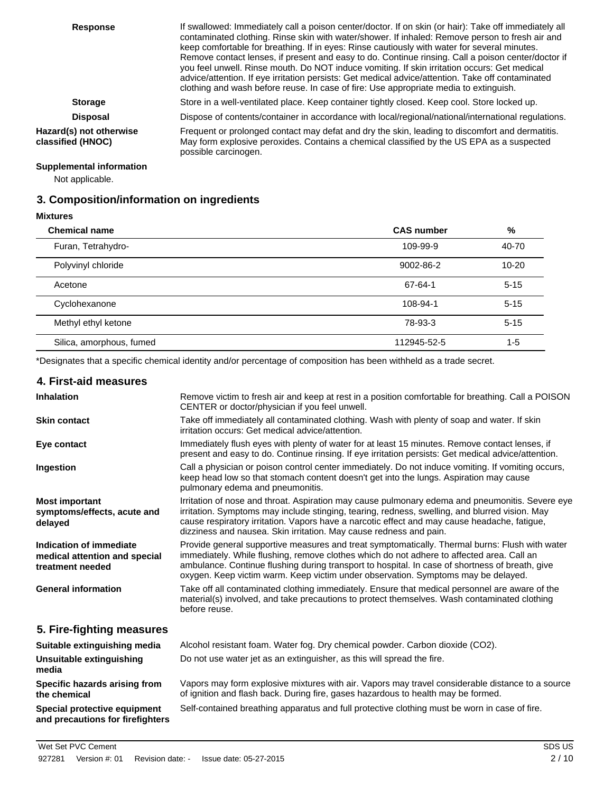| <b>Response</b>                              | If swallowed: Immediately call a poison center/doctor. If on skin (or hair): Take off immediately all<br>contaminated clothing. Rinse skin with water/shower. If inhaled: Remove person to fresh air and<br>keep comfortable for breathing. If in eyes: Rinse cautiously with water for several minutes.<br>Remove contact lenses, if present and easy to do. Continue rinsing. Call a poison center/doctor if<br>you feel unwell. Rinse mouth. Do NOT induce vomiting. If skin irritation occurs: Get medical<br>advice/attention. If eye irritation persists: Get medical advice/attention. Take off contaminated<br>clothing and wash before reuse. In case of fire: Use appropriate media to extinguish. |
|----------------------------------------------|--------------------------------------------------------------------------------------------------------------------------------------------------------------------------------------------------------------------------------------------------------------------------------------------------------------------------------------------------------------------------------------------------------------------------------------------------------------------------------------------------------------------------------------------------------------------------------------------------------------------------------------------------------------------------------------------------------------|
| <b>Storage</b>                               | Store in a well-ventilated place. Keep container tightly closed. Keep cool. Store locked up.                                                                                                                                                                                                                                                                                                                                                                                                                                                                                                                                                                                                                 |
| <b>Disposal</b>                              | Dispose of contents/container in accordance with local/regional/national/international regulations.                                                                                                                                                                                                                                                                                                                                                                                                                                                                                                                                                                                                          |
| Hazard(s) not otherwise<br>classified (HNOC) | Frequent or prolonged contact may defat and dry the skin, leading to discomfort and dermatitis.<br>May form explosive peroxides. Contains a chemical classified by the US EPA as a suspected<br>possible carcinogen.                                                                                                                                                                                                                                                                                                                                                                                                                                                                                         |

## **Supplemental information**

Not applicable.

# **3. Composition/information on ingredients**

**Mixtures**

| <b>Chemical name</b>     | <b>CAS number</b> | %         |
|--------------------------|-------------------|-----------|
| Furan, Tetrahydro-       | 109-99-9          | 40-70     |
| Polyvinyl chloride       | 9002-86-2         | $10 - 20$ |
| Acetone                  | 67-64-1           | $5 - 15$  |
| Cyclohexanone            | 108-94-1          | $5 - 15$  |
| Methyl ethyl ketone      | 78-93-3           | $5 - 15$  |
| Silica, amorphous, fumed | 112945-52-5       | $1 - 5$   |

\*Designates that a specific chemical identity and/or percentage of composition has been withheld as a trade secret.

| 4. First-aid measures                                                        |                                                                                                                                                                                                                                                                                                                                                                                     |
|------------------------------------------------------------------------------|-------------------------------------------------------------------------------------------------------------------------------------------------------------------------------------------------------------------------------------------------------------------------------------------------------------------------------------------------------------------------------------|
| <b>Inhalation</b>                                                            | Remove victim to fresh air and keep at rest in a position comfortable for breathing. Call a POISON<br>CENTER or doctor/physician if you feel unwell.                                                                                                                                                                                                                                |
| <b>Skin contact</b>                                                          | Take off immediately all contaminated clothing. Wash with plenty of soap and water. If skin<br>irritation occurs: Get medical advice/attention.                                                                                                                                                                                                                                     |
| Eye contact                                                                  | Immediately flush eyes with plenty of water for at least 15 minutes. Remove contact lenses, if<br>present and easy to do. Continue rinsing. If eye irritation persists: Get medical advice/attention.                                                                                                                                                                               |
| Ingestion                                                                    | Call a physician or poison control center immediately. Do not induce vomiting. If vomiting occurs,<br>keep head low so that stomach content doesn't get into the lungs. Aspiration may cause<br>pulmonary edema and pneumonitis.                                                                                                                                                    |
| <b>Most important</b><br>symptoms/effects, acute and<br>delayed              | Irritation of nose and throat. Aspiration may cause pulmonary edema and pneumonitis. Severe eye<br>irritation. Symptoms may include stinging, tearing, redness, swelling, and blurred vision. May<br>cause respiratory irritation. Vapors have a narcotic effect and may cause headache, fatigue,<br>dizziness and nausea. Skin irritation. May cause redness and pain.             |
| Indication of immediate<br>medical attention and special<br>treatment needed | Provide general supportive measures and treat symptomatically. Thermal burns: Flush with water<br>immediately. While flushing, remove clothes which do not adhere to affected area. Call an<br>ambulance. Continue flushing during transport to hospital. In case of shortness of breath, give<br>oxygen. Keep victim warm. Keep victim under observation. Symptoms may be delayed. |
| <b>General information</b>                                                   | Take off all contaminated clothing immediately. Ensure that medical personnel are aware of the<br>material(s) involved, and take precautions to protect themselves. Wash contaminated clothing<br>before reuse.                                                                                                                                                                     |
| 5. Fire-fighting measures                                                    |                                                                                                                                                                                                                                                                                                                                                                                     |
| Suitable extinguishing media                                                 | Alcohol resistant foam. Water fog. Dry chemical powder. Carbon dioxide (CO2).                                                                                                                                                                                                                                                                                                       |
| <b>Unsuitable extinguishing</b><br>media                                     | Do not use water jet as an extinguisher, as this will spread the fire.                                                                                                                                                                                                                                                                                                              |
| Specific hazards arising from<br>the chemical                                | Vapors may form explosive mixtures with air. Vapors may travel considerable distance to a source<br>of ignition and flash back. During fire, gases hazardous to health may be formed.                                                                                                                                                                                               |
| Special protective equipment<br>and precautions for firefighters             | Self-contained breathing apparatus and full protective clothing must be worn in case of fire.                                                                                                                                                                                                                                                                                       |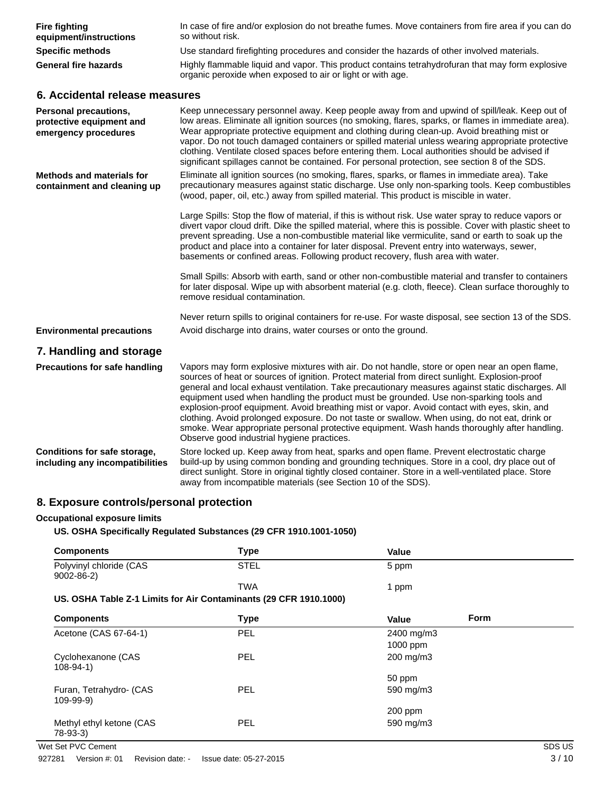| <b>Fire fighting</b><br>equipment/instructions                                   | In case of fire and/or explosion do not breathe fumes. Move containers from fire area if you can do<br>so without risk.                                                                                                                                                                                                                                                                                                                                                                                                                                                                                                                                                                                                                      |
|----------------------------------------------------------------------------------|----------------------------------------------------------------------------------------------------------------------------------------------------------------------------------------------------------------------------------------------------------------------------------------------------------------------------------------------------------------------------------------------------------------------------------------------------------------------------------------------------------------------------------------------------------------------------------------------------------------------------------------------------------------------------------------------------------------------------------------------|
| <b>Specific methods</b>                                                          | Use standard firefighting procedures and consider the hazards of other involved materials.                                                                                                                                                                                                                                                                                                                                                                                                                                                                                                                                                                                                                                                   |
| <b>General fire hazards</b>                                                      | Highly flammable liquid and vapor. This product contains tetrahydrofuran that may form explosive<br>organic peroxide when exposed to air or light or with age.                                                                                                                                                                                                                                                                                                                                                                                                                                                                                                                                                                               |
| 6. Accidental release measures                                                   |                                                                                                                                                                                                                                                                                                                                                                                                                                                                                                                                                                                                                                                                                                                                              |
| <b>Personal precautions,</b><br>protective equipment and<br>emergency procedures | Keep unnecessary personnel away. Keep people away from and upwind of spill/leak. Keep out of<br>low areas. Eliminate all ignition sources (no smoking, flares, sparks, or flames in immediate area).<br>Wear appropriate protective equipment and clothing during clean-up. Avoid breathing mist or<br>vapor. Do not touch damaged containers or spilled material unless wearing appropriate protective<br>clothing. Ventilate closed spaces before entering them. Local authorities should be advised if<br>significant spillages cannot be contained. For personal protection, see section 8 of the SDS.                                                                                                                                   |
| <b>Methods and materials for</b><br>containment and cleaning up                  | Eliminate all ignition sources (no smoking, flares, sparks, or flames in immediate area). Take<br>precautionary measures against static discharge. Use only non-sparking tools. Keep combustibles<br>(wood, paper, oil, etc.) away from spilled material. This product is miscible in water.                                                                                                                                                                                                                                                                                                                                                                                                                                                 |
|                                                                                  | Large Spills: Stop the flow of material, if this is without risk. Use water spray to reduce vapors or<br>divert vapor cloud drift. Dike the spilled material, where this is possible. Cover with plastic sheet to<br>prevent spreading. Use a non-combustible material like vermiculite, sand or earth to soak up the<br>product and place into a container for later disposal. Prevent entry into waterways, sewer,<br>basements or confined areas. Following product recovery, flush area with water.                                                                                                                                                                                                                                      |
|                                                                                  | Small Spills: Absorb with earth, sand or other non-combustible material and transfer to containers<br>for later disposal. Wipe up with absorbent material (e.g. cloth, fleece). Clean surface thoroughly to<br>remove residual contamination.                                                                                                                                                                                                                                                                                                                                                                                                                                                                                                |
|                                                                                  | Never return spills to original containers for re-use. For waste disposal, see section 13 of the SDS.                                                                                                                                                                                                                                                                                                                                                                                                                                                                                                                                                                                                                                        |
| <b>Environmental precautions</b>                                                 | Avoid discharge into drains, water courses or onto the ground.                                                                                                                                                                                                                                                                                                                                                                                                                                                                                                                                                                                                                                                                               |
| 7. Handling and storage                                                          |                                                                                                                                                                                                                                                                                                                                                                                                                                                                                                                                                                                                                                                                                                                                              |
| <b>Precautions for safe handling</b>                                             | Vapors may form explosive mixtures with air. Do not handle, store or open near an open flame,<br>sources of heat or sources of ignition. Protect material from direct sunlight. Explosion-proof<br>general and local exhaust ventilation. Take precautionary measures against static discharges. All<br>equipment used when handling the product must be grounded. Use non-sparking tools and<br>explosion-proof equipment. Avoid breathing mist or vapor. Avoid contact with eyes, skin, and<br>clothing. Avoid prolonged exposure. Do not taste or swallow. When using, do not eat, drink or<br>smoke. Wear appropriate personal protective equipment. Wash hands thoroughly after handling.<br>Observe good industrial hygiene practices. |
| <b>Conditions for safe storage,</b><br>including any incompatibilities           | Store locked up. Keep away from heat, sparks and open flame. Prevent electrostatic charge<br>build-up by using common bonding and grounding techniques. Store in a cool, dry place out of<br>direct sunlight. Store in original tightly closed container. Store in a well-ventilated place. Store<br>away from incompatible materials (see Section 10 of the SDS).                                                                                                                                                                                                                                                                                                                                                                           |

# **8. Exposure controls/personal protection**

#### **Occupational exposure limits**

## **US. OSHA Specifically Regulated Substances (29 CFR 1910.1001-1050)**

| <b>Components</b>                                                 | <b>Type</b> | Value                |        |
|-------------------------------------------------------------------|-------------|----------------------|--------|
| Polyvinyl chloride (CAS<br>$9002 - 86 - 2$                        | <b>STEL</b> | 5 ppm                |        |
|                                                                   | <b>TWA</b>  | 1 ppm                |        |
| US. OSHA Table Z-1 Limits for Air Contaminants (29 CFR 1910.1000) |             |                      |        |
| <b>Components</b>                                                 | <b>Type</b> | <b>Form</b><br>Value |        |
| Acetone (CAS 67-64-1)                                             | PEL         | 2400 mg/m3           |        |
|                                                                   |             | 1000 ppm             |        |
| Cyclohexanone (CAS<br>$108 - 94 - 1$                              | <b>PEL</b>  | 200 mg/m3            |        |
|                                                                   |             | 50 ppm               |        |
| Furan, Tetrahydro- (CAS<br>$109 - 99 - 9)$                        | <b>PEL</b>  | 590 mg/m3            |        |
|                                                                   |             | 200 ppm              |        |
| Methyl ethyl ketone (CAS<br>78-93-3)                              | <b>PEL</b>  | 590 mg/m3            |        |
| Wet Set PVC Cement                                                |             |                      | SDS US |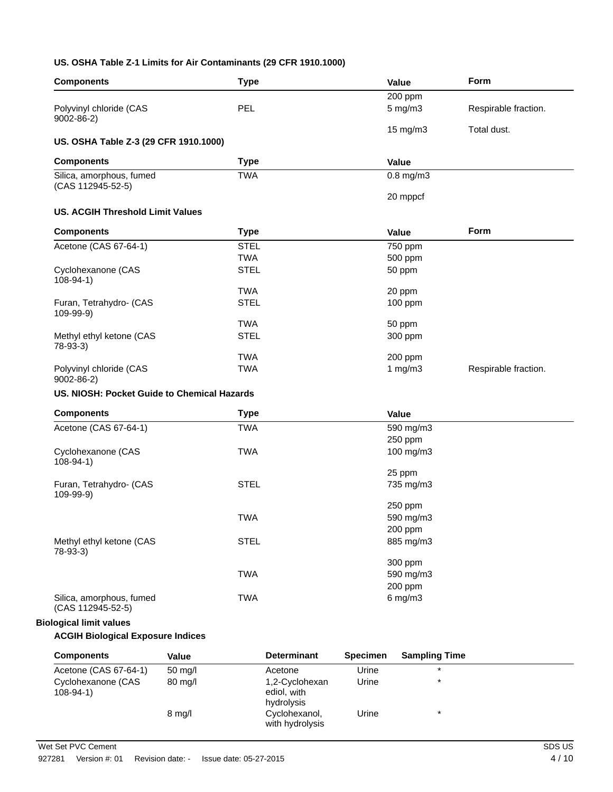## **US. OSHA Table Z-1 Limits for Air Contaminants (29 CFR 1910.1000)**

| <b>Components</b>                             | <b>Type</b> |                    |                 | Value                | Form                 |
|-----------------------------------------------|-------------|--------------------|-----------------|----------------------|----------------------|
|                                               |             |                    |                 | 200 ppm              |                      |
| Polyvinyl chloride (CAS<br>$9002 - 86 - 2$    | PEL         |                    |                 | 5 mg/m3              | Respirable fraction. |
|                                               |             |                    |                 | 15 mg/m3             | Total dust.          |
| US. OSHA Table Z-3 (29 CFR 1910.1000)         |             |                    |                 |                      |                      |
| <b>Components</b>                             | <b>Type</b> |                    |                 | <b>Value</b>         |                      |
| Silica, amorphous, fumed<br>(CAS 112945-52-5) | <b>TWA</b>  |                    |                 | $0.8$ mg/m $3$       |                      |
|                                               |             |                    |                 | 20 mppcf             |                      |
| <b>US. ACGIH Threshold Limit Values</b>       |             |                    |                 |                      |                      |
| <b>Components</b>                             | <b>Type</b> |                    |                 | <b>Value</b>         | <b>Form</b>          |
| Acetone (CAS 67-64-1)                         | <b>STEL</b> |                    |                 | $\overline{7}50$ ppm |                      |
|                                               | <b>TWA</b>  |                    |                 | 500 ppm              |                      |
| Cyclohexanone (CAS<br>$108-94-1)$             | <b>STEL</b> |                    |                 | 50 ppm               |                      |
|                                               | <b>TWA</b>  |                    |                 | 20 ppm               |                      |
| Furan, Tetrahydro- (CAS<br>109-99-9)          | <b>STEL</b> |                    |                 | 100 ppm              |                      |
|                                               | <b>TWA</b>  |                    |                 | 50 ppm               |                      |
| Methyl ethyl ketone (CAS<br>$78-93-3)$        | <b>STEL</b> |                    |                 | 300 ppm              |                      |
|                                               | <b>TWA</b>  |                    |                 | 200 ppm              |                      |
| Polyvinyl chloride (CAS<br>$9002 - 86 - 2$    | <b>TWA</b>  |                    |                 | 1 $mg/m3$            | Respirable fraction. |
| US. NIOSH: Pocket Guide to Chemical Hazards   |             |                    |                 |                      |                      |
| <b>Components</b>                             | <b>Type</b> |                    |                 | Value                |                      |
| Acetone (CAS 67-64-1)                         | <b>TWA</b>  |                    |                 | 590 mg/m3            |                      |
|                                               |             |                    |                 | 250 ppm              |                      |
| Cyclohexanone (CAS<br>$108 - 94 - 1$          | <b>TWA</b>  |                    |                 | 100 mg/m3            |                      |
|                                               |             |                    |                 | 25 ppm               |                      |
| Furan, Tetrahydro- (CAS<br>109-99-9)          | <b>STEL</b> |                    |                 | 735 mg/m3            |                      |
|                                               |             |                    |                 | 250 ppm              |                      |
|                                               | <b>TWA</b>  |                    |                 | 590 mg/m3            |                      |
|                                               |             |                    |                 | 200 ppm              |                      |
| Methyl ethyl ketone (CAS<br>$78-93-3)$        | <b>STEL</b> |                    |                 | 885 mg/m3            |                      |
|                                               |             |                    |                 | 300 ppm              |                      |
|                                               | <b>TWA</b>  |                    |                 | 590 mg/m3            |                      |
|                                               |             |                    |                 | 200 ppm              |                      |
| Silica, amorphous, fumed<br>(CAS 112945-52-5) | <b>TWA</b>  |                    |                 | $6$ mg/m $3$         |                      |
| <b>Biological limit values</b>                |             |                    |                 |                      |                      |
| <b>ACGIH Biological Exposure Indices</b>      |             |                    |                 |                      |                      |
| <b>Components</b>                             | Value       | <b>Determinant</b> | <b>Specimen</b> | <b>Sampling Time</b> |                      |
| Acetone (CAS 67-64-1)                         | 50 mg/l     | Acetone            | Urine           | $\star$              |                      |
|                                               |             |                    |                 |                      |                      |

| Acetone (CAS 67-64-1)             | $50 \text{ mg/l}$ | Acetone                                     | Urine | $\star$ |  |
|-----------------------------------|-------------------|---------------------------------------------|-------|---------|--|
| Cyclohexanone (CAS<br>$108-94-1)$ | 80 mg/l           | 1,2-Cyclohexan<br>ediol, with<br>hydrolysis | Urine | $\star$ |  |
|                                   | $8 \text{ mq/l}$  | Cyclohexanol,<br>with hydrolysis            | Urine | $\star$ |  |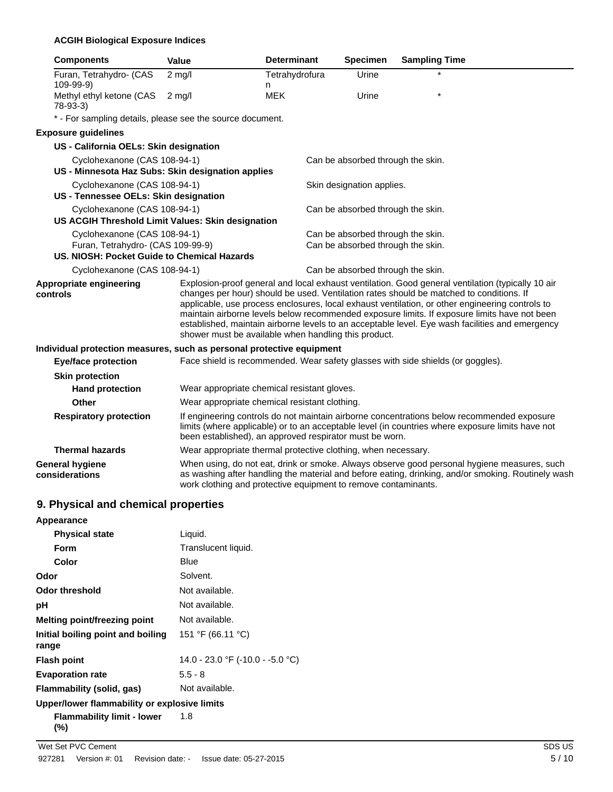## **ACGIH Biological Exposure Indices**

| <b>Components</b>                                                     | Value    |                                                                | <b>Determinant</b>  | <b>Specimen</b>                   | <b>Sampling Time</b>                                                                                                                                                                                                                                                                                                                                                                                                                                                                               |                                                                                                                                                                                                   |
|-----------------------------------------------------------------------|----------|----------------------------------------------------------------|---------------------|-----------------------------------|----------------------------------------------------------------------------------------------------------------------------------------------------------------------------------------------------------------------------------------------------------------------------------------------------------------------------------------------------------------------------------------------------------------------------------------------------------------------------------------------------|---------------------------------------------------------------------------------------------------------------------------------------------------------------------------------------------------|
| Furan, Tetrahydro- (CAS<br>109-99-9)                                  | $2$ mg/l |                                                                | Tetrahydrofura<br>n | Urine                             |                                                                                                                                                                                                                                                                                                                                                                                                                                                                                                    |                                                                                                                                                                                                   |
| Methyl ethyl ketone (CAS<br>$78-93-3$                                 | $2$ mg/l |                                                                | <b>MEK</b>          | Urine                             |                                                                                                                                                                                                                                                                                                                                                                                                                                                                                                    |                                                                                                                                                                                                   |
| * - For sampling details, please see the source document.             |          |                                                                |                     |                                   |                                                                                                                                                                                                                                                                                                                                                                                                                                                                                                    |                                                                                                                                                                                                   |
| <b>Exposure guidelines</b>                                            |          |                                                                |                     |                                   |                                                                                                                                                                                                                                                                                                                                                                                                                                                                                                    |                                                                                                                                                                                                   |
| US - California OELs: Skin designation                                |          |                                                                |                     |                                   |                                                                                                                                                                                                                                                                                                                                                                                                                                                                                                    |                                                                                                                                                                                                   |
| Cyclohexanone (CAS 108-94-1)                                          |          |                                                                |                     | Can be absorbed through the skin. |                                                                                                                                                                                                                                                                                                                                                                                                                                                                                                    |                                                                                                                                                                                                   |
| US - Minnesota Haz Subs: Skin designation applies                     |          |                                                                |                     |                                   |                                                                                                                                                                                                                                                                                                                                                                                                                                                                                                    |                                                                                                                                                                                                   |
| Cyclohexanone (CAS 108-94-1)                                          |          |                                                                |                     | Skin designation applies.         |                                                                                                                                                                                                                                                                                                                                                                                                                                                                                                    |                                                                                                                                                                                                   |
| US - Tennessee OELs: Skin designation                                 |          |                                                                |                     |                                   |                                                                                                                                                                                                                                                                                                                                                                                                                                                                                                    |                                                                                                                                                                                                   |
| Cyclohexanone (CAS 108-94-1)                                          |          |                                                                |                     | Can be absorbed through the skin. |                                                                                                                                                                                                                                                                                                                                                                                                                                                                                                    |                                                                                                                                                                                                   |
| US ACGIH Threshold Limit Values: Skin designation                     |          |                                                                |                     |                                   |                                                                                                                                                                                                                                                                                                                                                                                                                                                                                                    |                                                                                                                                                                                                   |
| Cyclohexanone (CAS 108-94-1)                                          |          |                                                                |                     | Can be absorbed through the skin. |                                                                                                                                                                                                                                                                                                                                                                                                                                                                                                    |                                                                                                                                                                                                   |
| Furan, Tetrahydro- (CAS 109-99-9)                                     |          |                                                                |                     | Can be absorbed through the skin. |                                                                                                                                                                                                                                                                                                                                                                                                                                                                                                    |                                                                                                                                                                                                   |
| US. NIOSH: Pocket Guide to Chemical Hazards                           |          |                                                                |                     |                                   |                                                                                                                                                                                                                                                                                                                                                                                                                                                                                                    |                                                                                                                                                                                                   |
| Cyclohexanone (CAS 108-94-1)                                          |          |                                                                |                     | Can be absorbed through the skin. |                                                                                                                                                                                                                                                                                                                                                                                                                                                                                                    |                                                                                                                                                                                                   |
| Appropriate engineering<br>controls                                   |          | shower must be available when handling this product.           |                     |                                   | Explosion-proof general and local exhaust ventilation. Good general ventilation (typically 10 air<br>changes per hour) should be used. Ventilation rates should be matched to conditions. If<br>applicable, use process enclosures, local exhaust ventilation, or other engineering controls to<br>maintain airborne levels below recommended exposure limits. If exposure limits have not been<br>established, maintain airborne levels to an acceptable level. Eye wash facilities and emergency |                                                                                                                                                                                                   |
| Individual protection measures, such as personal protective equipment |          |                                                                |                     |                                   |                                                                                                                                                                                                                                                                                                                                                                                                                                                                                                    |                                                                                                                                                                                                   |
| <b>Eye/face protection</b>                                            |          |                                                                |                     |                                   | Face shield is recommended. Wear safety glasses with side shields (or goggles).                                                                                                                                                                                                                                                                                                                                                                                                                    |                                                                                                                                                                                                   |
| <b>Skin protection</b>                                                |          |                                                                |                     |                                   |                                                                                                                                                                                                                                                                                                                                                                                                                                                                                                    |                                                                                                                                                                                                   |
| <b>Hand protection</b>                                                |          | Wear appropriate chemical resistant gloves.                    |                     |                                   |                                                                                                                                                                                                                                                                                                                                                                                                                                                                                                    |                                                                                                                                                                                                   |
| Other                                                                 |          | Wear appropriate chemical resistant clothing.                  |                     |                                   |                                                                                                                                                                                                                                                                                                                                                                                                                                                                                                    |                                                                                                                                                                                                   |
| <b>Respiratory protection</b>                                         |          | been established), an approved respirator must be worn.        |                     |                                   | If engineering controls do not maintain airborne concentrations below recommended exposure<br>limits (where applicable) or to an acceptable level (in countries where exposure limits have not                                                                                                                                                                                                                                                                                                     |                                                                                                                                                                                                   |
| <b>Thermal hazards</b>                                                |          | Wear appropriate thermal protective clothing, when necessary.  |                     |                                   |                                                                                                                                                                                                                                                                                                                                                                                                                                                                                                    |                                                                                                                                                                                                   |
| <b>General hygiene</b><br>considerations                              |          | work clothing and protective equipment to remove contaminants. |                     |                                   |                                                                                                                                                                                                                                                                                                                                                                                                                                                                                                    | When using, do not eat, drink or smoke. Always observe good personal hygiene measures, such<br>as washing after handling the material and before eating, drinking, and/or smoking. Routinely wash |

# **9. Physical and chemical properties**

| Appearance                                   |                                  |
|----------------------------------------------|----------------------------------|
| <b>Physical state</b>                        | Liquid.                          |
| Form                                         | Translucent liquid.              |
| Color                                        | Blue                             |
| Odor                                         | Solvent.                         |
| Odor threshold                               | Not available.                   |
| рH                                           | Not available.                   |
| Melting point/freezing point                 | Not available.                   |
| Initial boiling point and boiling<br>range   | 151 °F (66.11 °C)                |
| <b>Flash point</b>                           | 14.0 - 23.0 °F (-10.0 - -5.0 °C) |
| <b>Evaporation rate</b>                      | $5.5 - 8$                        |
| Flammability (solid, gas)                    | Not available.                   |
| Upper/lower flammability or explosive limits |                                  |
| <b>Flammability limit - lower</b><br>(%)     | 1.8                              |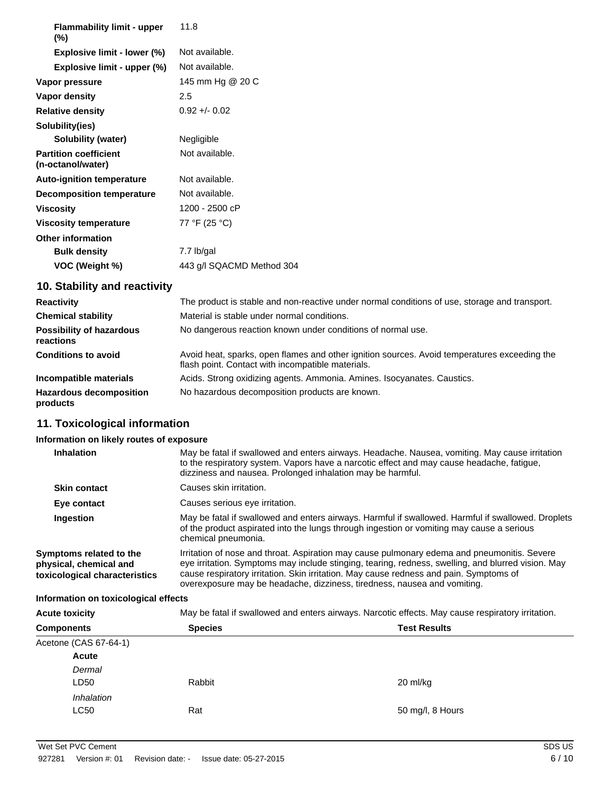| <b>Flammability limit - upper</b><br>$(\%)$       | 11.8                      |
|---------------------------------------------------|---------------------------|
| Explosive limit - lower (%)                       | Not available.            |
| Explosive limit - upper (%)                       | Not available.            |
| Vapor pressure                                    | 145 mm Hg @ 20 C          |
| Vapor density                                     | 2.5                       |
| <b>Relative density</b>                           | $0.92 + 0.02$             |
| Solubility(ies)                                   |                           |
| Solubility (water)                                | Negligible                |
| <b>Partition coefficient</b><br>(n-octanol/water) | Not available.            |
| <b>Auto-ignition temperature</b>                  | Not available.            |
| <b>Decomposition temperature</b>                  | Not available.            |
| <b>Viscosity</b>                                  | 1200 - 2500 cP            |
| <b>Viscosity temperature</b>                      | 77 °F (25 °C)             |
| <b>Other information</b>                          |                           |
| <b>Bulk density</b>                               | 7.7 lb/gal                |
| VOC (Weight %)                                    | 443 g/l SQACMD Method 304 |

# **10. Stability and reactivity**

| <b>Reactivity</b>                            | The product is stable and non-reactive under normal conditions of use, storage and transport.                                                     |
|----------------------------------------------|---------------------------------------------------------------------------------------------------------------------------------------------------|
| <b>Chemical stability</b>                    | Material is stable under normal conditions.                                                                                                       |
| <b>Possibility of hazardous</b><br>reactions | No dangerous reaction known under conditions of normal use.                                                                                       |
| <b>Conditions to avoid</b>                   | Avoid heat, sparks, open flames and other ignition sources. Avoid temperatures exceeding the<br>flash point. Contact with incompatible materials. |
| Incompatible materials                       | Acids. Strong oxidizing agents. Ammonia. Amines. Isocyanates. Caustics.                                                                           |
| <b>Hazardous decomposition</b><br>products   | No hazardous decomposition products are known.                                                                                                    |

# **11. Toxicological information**

## **Information on likely routes of exposure**

| <b>Inhalation</b>                                                                  | May be fatal if swallowed and enters airways. Headache. Nausea, vomiting. May cause irritation<br>to the respiratory system. Vapors have a narcotic effect and may cause headache, fatigue,<br>dizziness and nausea. Prolonged inhalation may be harmful.                                                                                                               |
|------------------------------------------------------------------------------------|-------------------------------------------------------------------------------------------------------------------------------------------------------------------------------------------------------------------------------------------------------------------------------------------------------------------------------------------------------------------------|
| <b>Skin contact</b>                                                                | Causes skin irritation.                                                                                                                                                                                                                                                                                                                                                 |
| Eye contact                                                                        | Causes serious eye irritation.                                                                                                                                                                                                                                                                                                                                          |
| Ingestion                                                                          | May be fatal if swallowed and enters airways. Harmful if swallowed. Harmful if swallowed. Droplets<br>of the product aspirated into the lungs through ingestion or vomiting may cause a serious<br>chemical pneumonia.                                                                                                                                                  |
| Symptoms related to the<br>physical, chemical and<br>toxicological characteristics | Irritation of nose and throat. Aspiration may cause pulmonary edema and pneumonitis. Severe<br>eye irritation. Symptoms may include stinging, tearing, redness, swelling, and blurred vision. May<br>cause respiratory irritation. Skin irritation. May cause redness and pain. Symptoms of<br>overexposure may be headache, dizziness, tiredness, nausea and vomiting. |

## **Information on toxicological effects**

| <b>Acute toxicity</b> | May be fatal if swallowed and enters airways. Narcotic effects. May cause respiratory irritation. |  |
|-----------------------|---------------------------------------------------------------------------------------------------|--|

| <b>Components</b>         | <b>Species</b> | <b>Test Results</b> |
|---------------------------|----------------|---------------------|
| Acetone (CAS 67-64-1)     |                |                     |
| Acute                     |                |                     |
| Dermal<br>LD50            | Rabbit         | 20 ml/kg            |
| Inhalation<br><b>LC50</b> | Rat            | 50 mg/l, 8 Hours    |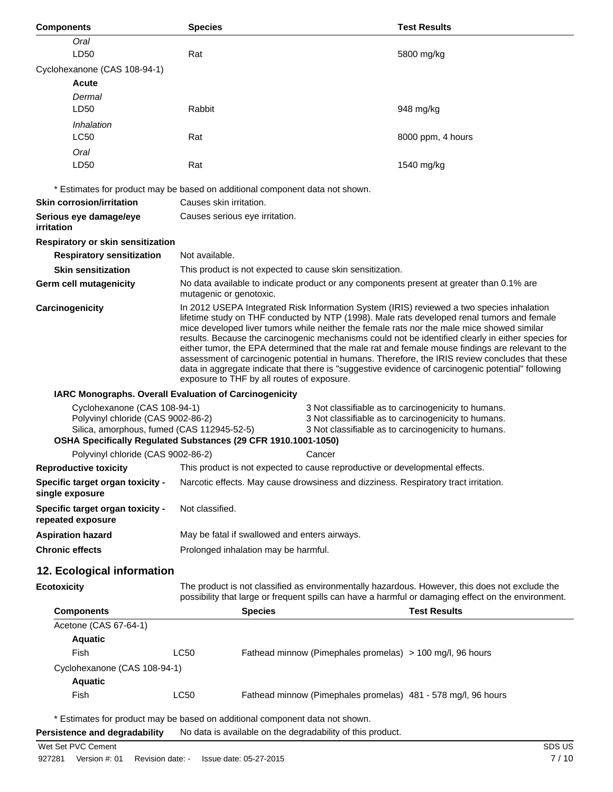| <b>Components</b>                                                                                                                                                                | <b>Species</b>                                                                                                                                                                                        | <b>Test Results</b>                                                                                                                                                                                                                                                                                                                                                                                                                                                                                                                                                                                                                                                                                      |  |
|----------------------------------------------------------------------------------------------------------------------------------------------------------------------------------|-------------------------------------------------------------------------------------------------------------------------------------------------------------------------------------------------------|----------------------------------------------------------------------------------------------------------------------------------------------------------------------------------------------------------------------------------------------------------------------------------------------------------------------------------------------------------------------------------------------------------------------------------------------------------------------------------------------------------------------------------------------------------------------------------------------------------------------------------------------------------------------------------------------------------|--|
| Oral                                                                                                                                                                             |                                                                                                                                                                                                       |                                                                                                                                                                                                                                                                                                                                                                                                                                                                                                                                                                                                                                                                                                          |  |
| LD50                                                                                                                                                                             | Rat                                                                                                                                                                                                   | 5800 mg/kg                                                                                                                                                                                                                                                                                                                                                                                                                                                                                                                                                                                                                                                                                               |  |
| Cyclohexanone (CAS 108-94-1)                                                                                                                                                     |                                                                                                                                                                                                       |                                                                                                                                                                                                                                                                                                                                                                                                                                                                                                                                                                                                                                                                                                          |  |
| Acute                                                                                                                                                                            |                                                                                                                                                                                                       |                                                                                                                                                                                                                                                                                                                                                                                                                                                                                                                                                                                                                                                                                                          |  |
| Dermal                                                                                                                                                                           |                                                                                                                                                                                                       |                                                                                                                                                                                                                                                                                                                                                                                                                                                                                                                                                                                                                                                                                                          |  |
| LD50                                                                                                                                                                             | Rabbit                                                                                                                                                                                                | 948 mg/kg                                                                                                                                                                                                                                                                                                                                                                                                                                                                                                                                                                                                                                                                                                |  |
| Inhalation                                                                                                                                                                       |                                                                                                                                                                                                       |                                                                                                                                                                                                                                                                                                                                                                                                                                                                                                                                                                                                                                                                                                          |  |
| <b>LC50</b>                                                                                                                                                                      | Rat                                                                                                                                                                                                   | 8000 ppm, 4 hours                                                                                                                                                                                                                                                                                                                                                                                                                                                                                                                                                                                                                                                                                        |  |
| Oral                                                                                                                                                                             |                                                                                                                                                                                                       |                                                                                                                                                                                                                                                                                                                                                                                                                                                                                                                                                                                                                                                                                                          |  |
| LD50                                                                                                                                                                             | Rat                                                                                                                                                                                                   | 1540 mg/kg                                                                                                                                                                                                                                                                                                                                                                                                                                                                                                                                                                                                                                                                                               |  |
|                                                                                                                                                                                  | * Estimates for product may be based on additional component data not shown.                                                                                                                          |                                                                                                                                                                                                                                                                                                                                                                                                                                                                                                                                                                                                                                                                                                          |  |
| <b>Skin corrosion/irritation</b>                                                                                                                                                 | Causes skin irritation.                                                                                                                                                                               |                                                                                                                                                                                                                                                                                                                                                                                                                                                                                                                                                                                                                                                                                                          |  |
| Serious eye damage/eye                                                                                                                                                           | Causes serious eye irritation.                                                                                                                                                                        |                                                                                                                                                                                                                                                                                                                                                                                                                                                                                                                                                                                                                                                                                                          |  |
| irritation                                                                                                                                                                       |                                                                                                                                                                                                       |                                                                                                                                                                                                                                                                                                                                                                                                                                                                                                                                                                                                                                                                                                          |  |
| Respiratory or skin sensitization                                                                                                                                                |                                                                                                                                                                                                       |                                                                                                                                                                                                                                                                                                                                                                                                                                                                                                                                                                                                                                                                                                          |  |
| <b>Respiratory sensitization</b>                                                                                                                                                 | Not available.                                                                                                                                                                                        |                                                                                                                                                                                                                                                                                                                                                                                                                                                                                                                                                                                                                                                                                                          |  |
| <b>Skin sensitization</b>                                                                                                                                                        | This product is not expected to cause skin sensitization.                                                                                                                                             |                                                                                                                                                                                                                                                                                                                                                                                                                                                                                                                                                                                                                                                                                                          |  |
| <b>Germ cell mutagenicity</b>                                                                                                                                                    | No data available to indicate product or any components present at greater than 0.1% are<br>mutagenic or genotoxic.                                                                                   |                                                                                                                                                                                                                                                                                                                                                                                                                                                                                                                                                                                                                                                                                                          |  |
| Carcinogenicity                                                                                                                                                                  | exposure to THF by all routes of exposure.                                                                                                                                                            | In 2012 USEPA Integrated Risk Information System (IRIS) reviewed a two species inhalation<br>lifetime study on THF conducted by NTP (1998). Male rats developed renal tumors and female<br>mice developed liver tumors while neither the female rats nor the male mice showed similar<br>results. Because the carcinogenic mechanisms could not be identified clearly in either species for<br>either tumor, the EPA determined that the male rat and female mouse findings are relevant to the<br>assessment of carcinogenic potential in humans. Therefore, the IRIS review concludes that these<br>data in aggregate indicate that there is "suggestive evidence of carcinogenic potential" following |  |
| IARC Monographs. Overall Evaluation of Carcinogenicity                                                                                                                           |                                                                                                                                                                                                       |                                                                                                                                                                                                                                                                                                                                                                                                                                                                                                                                                                                                                                                                                                          |  |
| Cyclohexanone (CAS 108-94-1)<br>3 Not classifiable as to carcinogenicity to humans.<br>Polyvinyl chloride (CAS 9002-86-2)<br>3 Not classifiable as to carcinogenicity to humans. |                                                                                                                                                                                                       |                                                                                                                                                                                                                                                                                                                                                                                                                                                                                                                                                                                                                                                                                                          |  |
| Silica, amorphous, fumed (CAS 112945-52-5)<br>3 Not classifiable as to carcinogenicity to humans.<br>OSHA Specifically Regulated Substances (29 CFR 1910.1001-1050)              |                                                                                                                                                                                                       |                                                                                                                                                                                                                                                                                                                                                                                                                                                                                                                                                                                                                                                                                                          |  |
| Polyvinyl chloride (CAS 9002-86-2)                                                                                                                                               |                                                                                                                                                                                                       | Cancer                                                                                                                                                                                                                                                                                                                                                                                                                                                                                                                                                                                                                                                                                                   |  |
| Reproductive toxicity                                                                                                                                                            | This product is not expected to cause reproductive or developmental effects.                                                                                                                          |                                                                                                                                                                                                                                                                                                                                                                                                                                                                                                                                                                                                                                                                                                          |  |
| Specific target organ toxicity -                                                                                                                                                 | Narcotic effects. May cause drowsiness and dizziness. Respiratory tract irritation.                                                                                                                   |                                                                                                                                                                                                                                                                                                                                                                                                                                                                                                                                                                                                                                                                                                          |  |
| single exposure                                                                                                                                                                  |                                                                                                                                                                                                       |                                                                                                                                                                                                                                                                                                                                                                                                                                                                                                                                                                                                                                                                                                          |  |
| Specific target organ toxicity -<br>repeated exposure                                                                                                                            | Not classified.                                                                                                                                                                                       |                                                                                                                                                                                                                                                                                                                                                                                                                                                                                                                                                                                                                                                                                                          |  |
| <b>Aspiration hazard</b>                                                                                                                                                         | May be fatal if swallowed and enters airways.                                                                                                                                                         |                                                                                                                                                                                                                                                                                                                                                                                                                                                                                                                                                                                                                                                                                                          |  |
| <b>Chronic effects</b>                                                                                                                                                           | Prolonged inhalation may be harmful.                                                                                                                                                                  |                                                                                                                                                                                                                                                                                                                                                                                                                                                                                                                                                                                                                                                                                                          |  |
| 12. Ecological information                                                                                                                                                       |                                                                                                                                                                                                       |                                                                                                                                                                                                                                                                                                                                                                                                                                                                                                                                                                                                                                                                                                          |  |
| <b>Ecotoxicity</b>                                                                                                                                                               | The product is not classified as environmentally hazardous. However, this does not exclude the<br>possibility that large or frequent spills can have a harmful or damaging effect on the environment. |                                                                                                                                                                                                                                                                                                                                                                                                                                                                                                                                                                                                                                                                                                          |  |
| <b>Components</b>                                                                                                                                                                | <b>Species</b>                                                                                                                                                                                        | <b>Test Results</b>                                                                                                                                                                                                                                                                                                                                                                                                                                                                                                                                                                                                                                                                                      |  |
| Acetone (CAS 67-64-1)                                                                                                                                                            |                                                                                                                                                                                                       |                                                                                                                                                                                                                                                                                                                                                                                                                                                                                                                                                                                                                                                                                                          |  |
| <b>Aquatic</b>                                                                                                                                                                   |                                                                                                                                                                                                       |                                                                                                                                                                                                                                                                                                                                                                                                                                                                                                                                                                                                                                                                                                          |  |
| Fish                                                                                                                                                                             | <b>LC50</b><br>Fathead minnow (Pimephales promelas) > 100 mg/l, 96 hours                                                                                                                              |                                                                                                                                                                                                                                                                                                                                                                                                                                                                                                                                                                                                                                                                                                          |  |
| Cyclohexanone (CAS 108-94-1)                                                                                                                                                     |                                                                                                                                                                                                       |                                                                                                                                                                                                                                                                                                                                                                                                                                                                                                                                                                                                                                                                                                          |  |
| <b>Aquatic</b>                                                                                                                                                                   |                                                                                                                                                                                                       |                                                                                                                                                                                                                                                                                                                                                                                                                                                                                                                                                                                                                                                                                                          |  |
| Fish                                                                                                                                                                             | LC50                                                                                                                                                                                                  | Fathead minnow (Pimephales promelas) 481 - 578 mg/l, 96 hours                                                                                                                                                                                                                                                                                                                                                                                                                                                                                                                                                                                                                                            |  |
| * Estimates for product may be based on additional component data not shown.                                                                                                     |                                                                                                                                                                                                       |                                                                                                                                                                                                                                                                                                                                                                                                                                                                                                                                                                                                                                                                                                          |  |

**Persistence and degradability** No data is available on the degradability of this product.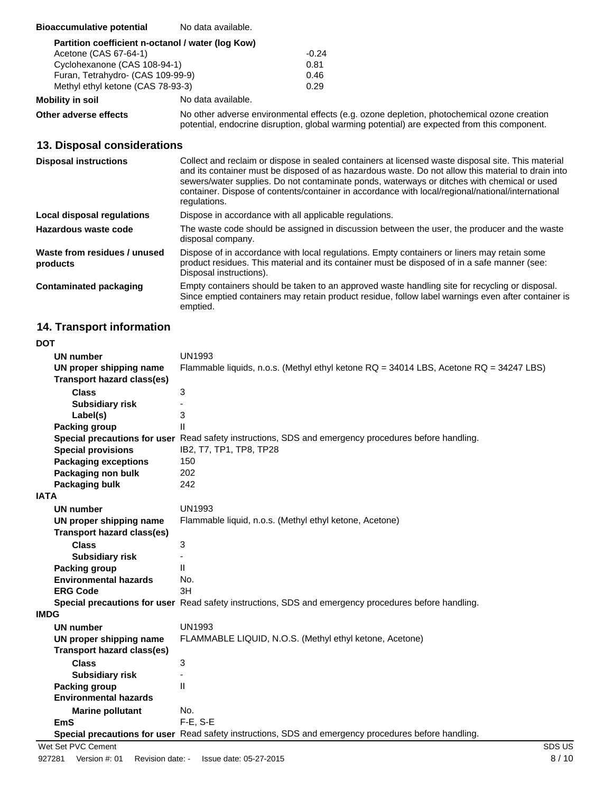| <b>Bioaccumulative potential</b>                  | No data available. |         |
|---------------------------------------------------|--------------------|---------|
| Partition coefficient n-octanol / water (log Kow) |                    |         |
| Acetone (CAS 67-64-1)                             |                    | $-0.24$ |
| Cyclohexanone (CAS 108-94-1)                      |                    | 0.81    |
| Furan, Tetrahydro- (CAS 109-99-9)                 |                    | 0.46    |
| Methyl ethyl ketone (CAS 78-93-3)                 |                    | 0.29    |

**Mobility in soil** No data available.

**Other adverse effects** No other adverse environmental effects (e.g. ozone depletion, photochemical ozone creation potential, endocrine disruption, global warming potential) are expected from this component.

# **13. Disposal considerations**

| <b>Disposal instructions</b>             | Collect and reclaim or dispose in sealed containers at licensed waste disposal site. This material<br>and its container must be disposed of as hazardous waste. Do not allow this material to drain into<br>sewers/water supplies. Do not contaminate ponds, waterways or ditches with chemical or used<br>container. Dispose of contents/container in accordance with local/regional/national/international<br>regulations. |
|------------------------------------------|------------------------------------------------------------------------------------------------------------------------------------------------------------------------------------------------------------------------------------------------------------------------------------------------------------------------------------------------------------------------------------------------------------------------------|
| Local disposal regulations               | Dispose in accordance with all applicable regulations.                                                                                                                                                                                                                                                                                                                                                                       |
| Hazardous waste code                     | The waste code should be assigned in discussion between the user, the producer and the waste<br>disposal company.                                                                                                                                                                                                                                                                                                            |
| Waste from residues / unused<br>products | Dispose of in accordance with local regulations. Empty containers or liners may retain some<br>product residues. This material and its container must be disposed of in a safe manner (see:<br>Disposal instructions).                                                                                                                                                                                                       |
| <b>Contaminated packaging</b>            | Empty containers should be taken to an approved waste handling site for recycling or disposal.<br>Since emptied containers may retain product residue, follow label warnings even after container is<br>emptied.                                                                                                                                                                                                             |

# **14. Transport information**

| <b>UN number</b>                  | <b>UN1993</b>                                                                                        |
|-----------------------------------|------------------------------------------------------------------------------------------------------|
| UN proper shipping name           | Flammable liquids, n.o.s. (Methyl ethyl ketone RQ = 34014 LBS, Acetone RQ = 34247 LBS)               |
| Transport hazard class(es)        |                                                                                                      |
| <b>Class</b>                      | 3                                                                                                    |
| <b>Subsidiary risk</b>            |                                                                                                      |
| Label(s)                          | 3                                                                                                    |
| Packing group                     | $\mathsf{II}$                                                                                        |
|                                   | Special precautions for user Read safety instructions, SDS and emergency procedures before handling. |
| <b>Special provisions</b>         | IB2, T7, TP1, TP8, TP28                                                                              |
| <b>Packaging exceptions</b>       | 150                                                                                                  |
| Packaging non bulk                | 202                                                                                                  |
| Packaging bulk                    | 242                                                                                                  |
| IATA                              |                                                                                                      |
| <b>UN number</b>                  | <b>UN1993</b>                                                                                        |
| UN proper shipping name           | Flammable liquid, n.o.s. (Methyl ethyl ketone, Acetone)                                              |
| <b>Transport hazard class(es)</b> |                                                                                                      |
| <b>Class</b>                      | 3                                                                                                    |
| <b>Subsidiary risk</b>            |                                                                                                      |
| Packing group                     | $\mathbf{H}$                                                                                         |
| <b>Environmental hazards</b>      | No.                                                                                                  |
| <b>ERG Code</b>                   | 3H                                                                                                   |
|                                   | Special precautions for user Read safety instructions, SDS and emergency procedures before handling. |
| IMDG                              |                                                                                                      |
| <b>UN number</b>                  | <b>UN1993</b>                                                                                        |
| UN proper shipping name           | FLAMMABLE LIQUID, N.O.S. (Methyl ethyl ketone, Acetone)                                              |
| <b>Transport hazard class(es)</b> |                                                                                                      |
| <b>Class</b>                      | 3                                                                                                    |
| <b>Subsidiary risk</b>            |                                                                                                      |
| <b>Packing group</b>              | $\mathsf{II}$                                                                                        |
| <b>Environmental hazards</b>      |                                                                                                      |
| <b>Marine pollutant</b>           | No.                                                                                                  |
| <b>EmS</b>                        | F-E, S-E                                                                                             |
|                                   | Special precautions for user Read safety instructions, SDS and emergency procedures before handling. |
| Wet Set PVC Cement                | SDS US                                                                                               |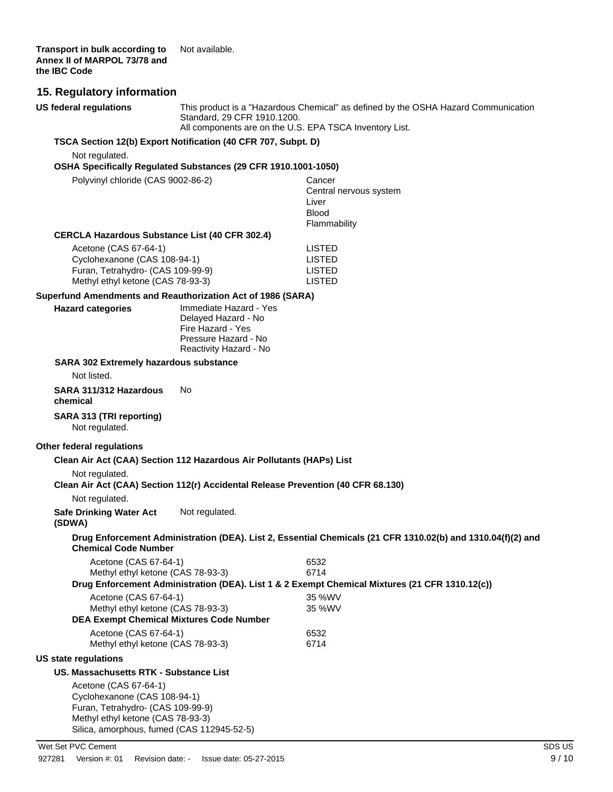| US federal regulations |
|------------------------|
|------------------------|

This product is a "Hazardous Chemical" as defined by the OSHA Hazard Communication Standard, 29 CFR 1910.1200.

All components are on the U.S. EPA TSCA Inventory List.

#### **TSCA Section 12(b) Export Notification (40 CFR 707, Subpt. D)**

Not regulated.

#### **OSHA Specifically Regulated Substances (29 CFR 1910.1001-1050)**

| Polyvinyl chloride (CAS 9002-86-2)                    | Cancer                 |
|-------------------------------------------------------|------------------------|
|                                                       | Central nervous system |
|                                                       | Liver                  |
|                                                       | <b>Blood</b>           |
|                                                       | Flammability           |
| <b>CERCLA Hazardous Substance List (40 CFR 302.4)</b> |                        |
| Acetone (CAS 67-64-1)                                 | LISTED                 |
| Cyclohexanone (CAS 108-94-1)                          | LISTED                 |
|                                                       | 1.0777                 |

| UVClONEXANONE (UAS 108-94-1)      | LISIED |
|-----------------------------------|--------|
| Furan, Tetrahydro- (CAS 109-99-9) | LISTED |
| Methyl ethyl ketone (CAS 78-93-3) | LISTED |

#### **Superfund Amendments and Reauthorization Act of 1986 (SARA)**

| <b>Hazard categories</b>                                                                                    | Immediate Hazard - Yes<br>Delayed Hazard - No<br>Fire Hazard - Yes<br>Pressure Hazard - No<br>Reactivity Hazard - No |              |                                                                                                             |
|-------------------------------------------------------------------------------------------------------------|----------------------------------------------------------------------------------------------------------------------|--------------|-------------------------------------------------------------------------------------------------------------|
| <b>SARA 302 Extremely hazardous substance</b>                                                               |                                                                                                                      |              |                                                                                                             |
| Not listed.                                                                                                 |                                                                                                                      |              |                                                                                                             |
| SARA 311/312 Hazardous<br>chemical                                                                          | No                                                                                                                   |              |                                                                                                             |
| SARA 313 (TRI reporting)<br>Not regulated.                                                                  |                                                                                                                      |              |                                                                                                             |
| Other federal regulations                                                                                   |                                                                                                                      |              |                                                                                                             |
| Clean Air Act (CAA) Section 112 Hazardous Air Pollutants (HAPs) List                                        |                                                                                                                      |              |                                                                                                             |
| Not regulated.<br>Clean Air Act (CAA) Section 112(r) Accidental Release Prevention (40 CFR 68.130)          |                                                                                                                      |              |                                                                                                             |
| Not regulated.                                                                                              |                                                                                                                      |              |                                                                                                             |
| <b>Safe Drinking Water Act</b><br>(SDWA)                                                                    | Not regulated.                                                                                                       |              |                                                                                                             |
| <b>Chemical Code Number</b>                                                                                 |                                                                                                                      |              | Drug Enforcement Administration (DEA). List 2, Essential Chemicals (21 CFR 1310.02(b) and 1310.04(f)(2) and |
| Acetone (CAS 67-64-1)                                                                                       |                                                                                                                      | 6532         |                                                                                                             |
| Methyl ethyl ketone (CAS 78-93-3)                                                                           |                                                                                                                      | 6714         |                                                                                                             |
|                                                                                                             |                                                                                                                      |              | Drug Enforcement Administration (DEA). List 1 & 2 Exempt Chemical Mixtures (21 CFR 1310.12(c))              |
| Acetone (CAS 67-64-1)                                                                                       |                                                                                                                      | 35 %WV       |                                                                                                             |
| Methyl ethyl ketone (CAS 78-93-3)<br><b>DEA Exempt Chemical Mixtures Code Number</b>                        |                                                                                                                      | 35 %WV       |                                                                                                             |
|                                                                                                             |                                                                                                                      |              |                                                                                                             |
| Acetone (CAS 67-64-1)<br>Methyl ethyl ketone (CAS 78-93-3)                                                  |                                                                                                                      | 6532<br>6714 |                                                                                                             |
| <b>US state regulations</b>                                                                                 |                                                                                                                      |              |                                                                                                             |
| US. Massachusetts RTK - Substance List                                                                      |                                                                                                                      |              |                                                                                                             |
| Acetone (CAS 67-64-1)<br>Cyclohexanone (CAS 108-94-1)<br>$T_{\text{turb}}$ $T_{\text{turb}}$ $(0.00400000)$ |                                                                                                                      |              |                                                                                                             |

Furan, Tetrahydro- (CAS 109-99-9) Methyl ethyl ketone (CAS 78-93-3) Silica, amorphous, fumed (CAS 112945-52-5)